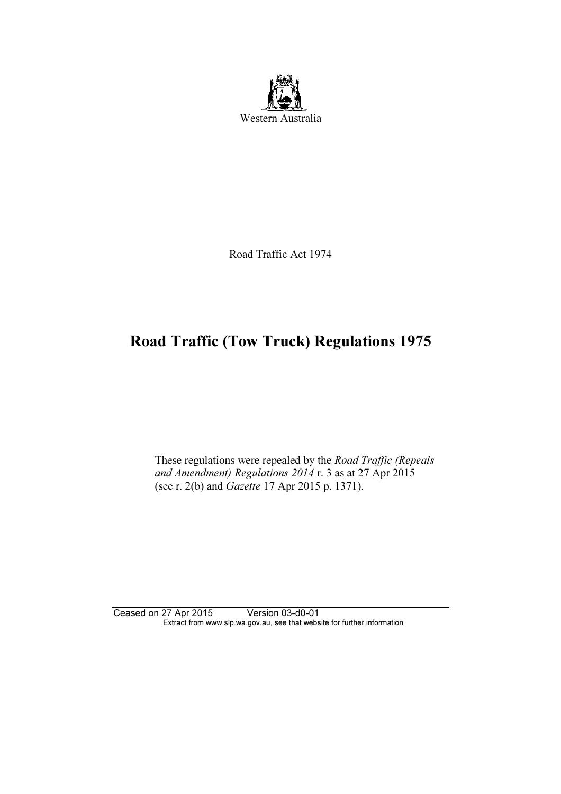

Road Traffic Act 1974

# Road Traffic (Tow Truck) Regulations 1975

 These regulations were repealed by the Road Traffic (Repeals and Amendment) Regulations 2014 r. 3 as at 27 Apr 2015 (see r. 2(b) and Gazette 17 Apr 2015 p. 1371).

Ceased on 27 Apr 2015 Version 03-d0-01 Extract from www.slp.wa.gov.au, see that website for further information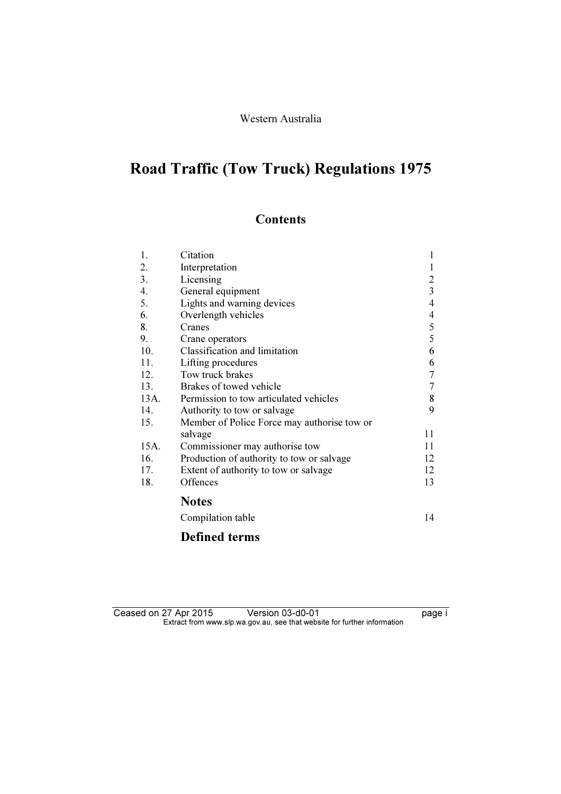### Western Australia

# Road Traffic (Tow Truck) Regulations 1975

## **Contents**

| 1.   | Citation                                    | 1                |
|------|---------------------------------------------|------------------|
| 2.   | Interpretation                              | 1                |
| 3.   | Licensing                                   | $\overline{2}$   |
| 4.   | General equipment                           | $\overline{3}$   |
| 5.   | Lights and warning devices                  | 4                |
| 6.   | Overlength vehicles                         | 4                |
| 8.   | Cranes                                      | 5                |
| 9.   | Crane operators                             | 5                |
| 10.  | Classification and limitation               | 6                |
| 11.  | Lifting procedures                          | 6                |
| 12.  | Tow truck brakes                            | $\boldsymbol{7}$ |
| 13.  | Brakes of towed vehicle                     | $\tau$           |
| 13A. | Permission to tow articulated vehicles      | 8                |
| 14.  | Authority to tow or salvage                 | 9                |
| 15.  | Member of Police Force may authorise tow or |                  |
|      | salvage                                     | 11               |
| 15A. | Commissioner may authorise tow              | 11               |
| 16.  | Production of authority to tow or salvage   | 12               |
| 17.  | Extent of authority to tow or salvage       | 12               |
| 18.  | Offences                                    | 13               |
|      | <b>Notes</b>                                |                  |
|      | Compilation table                           | 14               |
|      | <b>Defined terms</b>                        |                  |

Ceased on 27 Apr 2015 Version 03-d0-01 **page i**  $\mathbf{F}$  from which was the set that we besite for further information  $\mathbf{F}$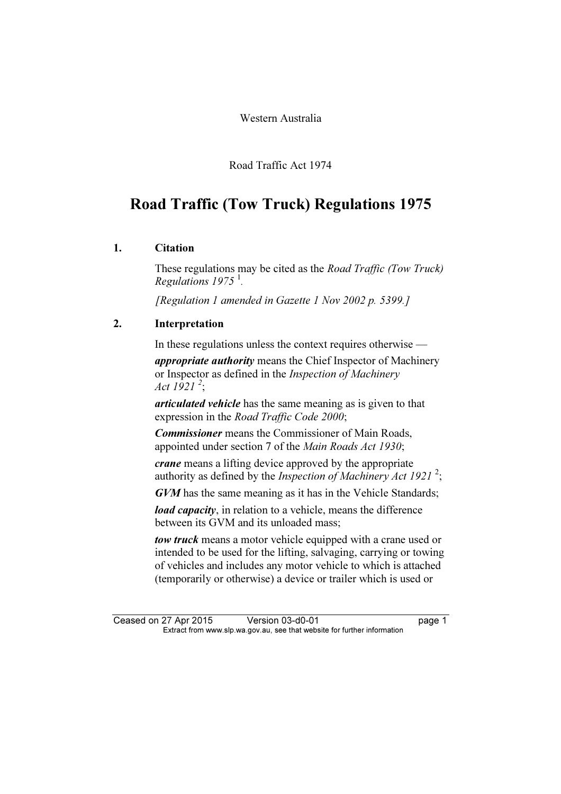Western Australia

Road Traffic Act 1974

## Road Traffic (Tow Truck) Regulations 1975

#### 1. Citation

These regulations may be cited as the *Road Traffic (Tow Truck)* Regulations  $1975<sup>1</sup>$ .

[Regulation 1 amended in Gazette 1 Nov 2002 p. 5399.]

### 2. Interpretation

In these regulations unless the context requires otherwise —

appropriate authority means the Chief Inspector of Machinery or Inspector as defined in the Inspection of Machinery Act  $1921^{2}$ ;

articulated vehicle has the same meaning as is given to that expression in the Road Traffic Code 2000;

**Commissioner** means the Commissioner of Main Roads, appointed under section 7 of the Main Roads Act 1930;

crane means a lifting device approved by the appropriate authority as defined by the *Inspection of Machinery Act 1921*<sup>2</sup>;

GVM has the same meaning as it has in the Vehicle Standards;

*load capacity*, in relation to a vehicle, means the difference between its GVM and its unloaded mass;

tow truck means a motor vehicle equipped with a crane used or intended to be used for the lifting, salvaging, carrying or towing of vehicles and includes any motor vehicle to which is attached (temporarily or otherwise) a device or trailer which is used or

Ceased on 27 Apr 2015 Version 03-d0-01 page 1<br>Extract from www.slp.wa.gov.au, see that website for further information  $\mathbf{F}$  from which was the set that we besite for further information  $\mathbf{F}$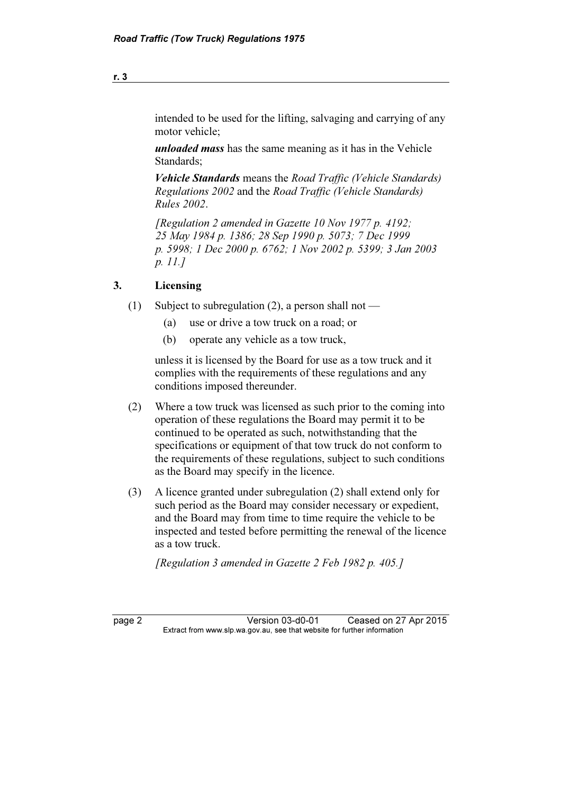intended to be used for the lifting, salvaging and carrying of any motor vehicle;

unloaded mass has the same meaning as it has in the Vehicle Standards;

Vehicle Standards means the Road Traffic (Vehicle Standards) Regulations 2002 and the Road Traffic (Vehicle Standards) Rules 2002.

 [Regulation 2 amended in Gazette 10 Nov 1977 p. 4192; 25 May 1984 p. 1386; 28 Sep 1990 p. 5073; 7 Dec 1999 p. 5998; 1 Dec 2000 p. 6762; 1 Nov 2002 p. 5399; 3 Jan 2003 p. 11.]

#### 3. Licensing

- (1) Subject to subregulation (2), a person shall not
	- (a) use or drive a tow truck on a road; or
	- (b) operate any vehicle as a tow truck,

 unless it is licensed by the Board for use as a tow truck and it complies with the requirements of these regulations and any conditions imposed thereunder.

- (2) Where a tow truck was licensed as such prior to the coming into operation of these regulations the Board may permit it to be continued to be operated as such, notwithstanding that the specifications or equipment of that tow truck do not conform to the requirements of these regulations, subject to such conditions as the Board may specify in the licence.
- (3) A licence granted under subregulation (2) shall extend only for such period as the Board may consider necessary or expedient, and the Board may from time to time require the vehicle to be inspected and tested before permitting the renewal of the licence as a tow truck.

[Regulation 3 amended in Gazette 2 Feb 1982 p. 405.]

page 2 Version 03-d0-01 Ceased on 27 Apr 2015<br>Extract from www.slp.wa.gov.au, see that website for further information  $\mathbf{F}$  from which was the set that we besite for further information  $\mathbf{F}$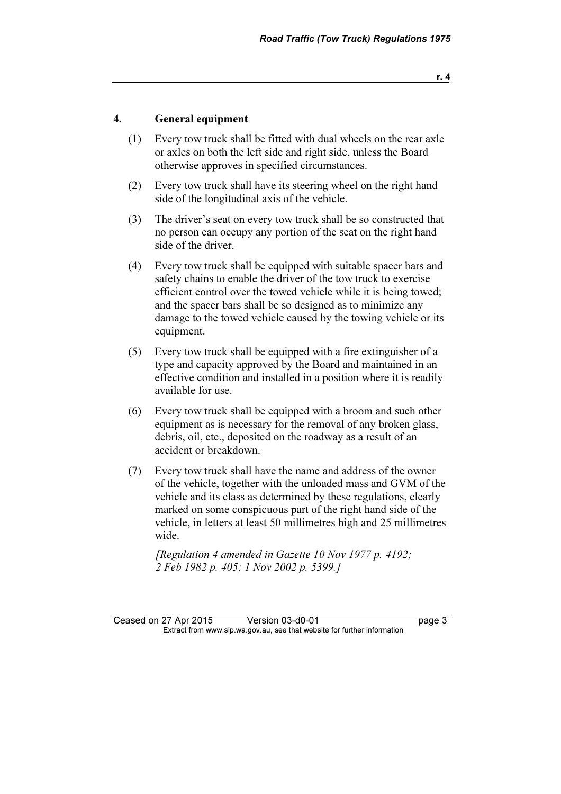#### 4. General equipment

- (1) Every tow truck shall be fitted with dual wheels on the rear axle or axles on both the left side and right side, unless the Board otherwise approves in specified circumstances.
- (2) Every tow truck shall have its steering wheel on the right hand side of the longitudinal axis of the vehicle.
- (3) The driver's seat on every tow truck shall be so constructed that no person can occupy any portion of the seat on the right hand side of the driver.
- (4) Every tow truck shall be equipped with suitable spacer bars and safety chains to enable the driver of the tow truck to exercise efficient control over the towed vehicle while it is being towed; and the spacer bars shall be so designed as to minimize any damage to the towed vehicle caused by the towing vehicle or its equipment.
- (5) Every tow truck shall be equipped with a fire extinguisher of a type and capacity approved by the Board and maintained in an effective condition and installed in a position where it is readily available for use.
- (6) Every tow truck shall be equipped with a broom and such other equipment as is necessary for the removal of any broken glass, debris, oil, etc., deposited on the roadway as a result of an accident or breakdown.
- (7) Every tow truck shall have the name and address of the owner of the vehicle, together with the unloaded mass and GVM of the vehicle and its class as determined by these regulations, clearly marked on some conspicuous part of the right hand side of the vehicle, in letters at least 50 millimetres high and 25 millimetres wide.

 [Regulation 4 amended in Gazette 10 Nov 1977 p. 4192; 2 Feb 1982 p. 405; 1 Nov 2002 p. 5399.]

Ceased on 27 Apr 2015 Version 03-d0-01 page 3<br>Extract from www.slp.wa.gov.au, see that website for further information  $\mathbf{F}$  from which was the set that we besite for further information  $\mathbf{F}$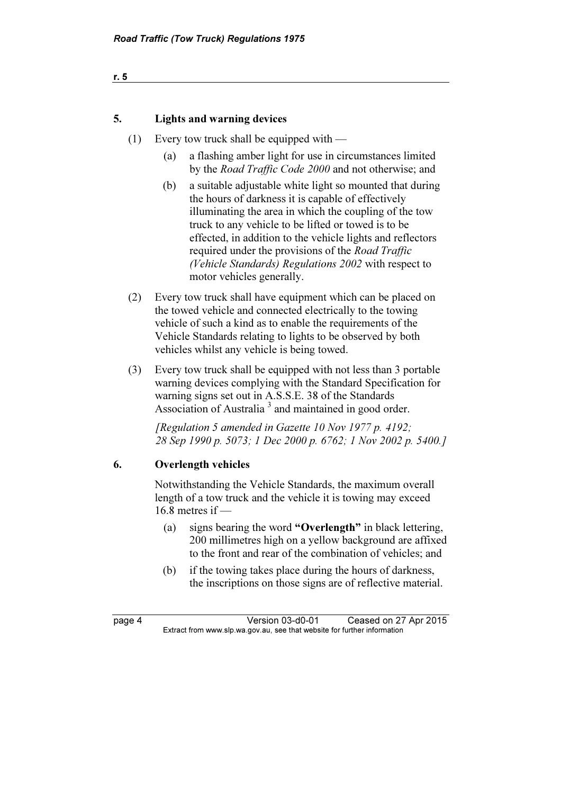| r. 5 |  |  |  |
|------|--|--|--|
|      |  |  |  |
|      |  |  |  |
|      |  |  |  |

#### 5. Lights and warning devices

- (1) Every tow truck shall be equipped with
	- (a) a flashing amber light for use in circumstances limited by the Road Traffic Code 2000 and not otherwise; and
	- (b) a suitable adjustable white light so mounted that during the hours of darkness it is capable of effectively illuminating the area in which the coupling of the tow truck to any vehicle to be lifted or towed is to be effected, in addition to the vehicle lights and reflectors required under the provisions of the Road Traffic (Vehicle Standards) Regulations 2002 with respect to motor vehicles generally.
- (2) Every tow truck shall have equipment which can be placed on the towed vehicle and connected electrically to the towing vehicle of such a kind as to enable the requirements of the Vehicle Standards relating to lights to be observed by both vehicles whilst any vehicle is being towed.
- (3) Every tow truck shall be equipped with not less than 3 portable warning devices complying with the Standard Specification for warning signs set out in A.S.S.E. 38 of the Standards Association of Australia<sup>3</sup> and maintained in good order.

 [Regulation 5 amended in Gazette 10 Nov 1977 p. 4192; 28 Sep 1990 p. 5073; 1 Dec 2000 p. 6762; 1 Nov 2002 p. 5400.]

#### 6. Overlength vehicles

 Notwithstanding the Vehicle Standards, the maximum overall length of a tow truck and the vehicle it is towing may exceed  $16.8$  metres if —

- (a) signs bearing the word "Overlength" in black lettering, 200 millimetres high on a yellow background are affixed to the front and rear of the combination of vehicles; and
- (b) if the towing takes place during the hours of darkness, the inscriptions on those signs are of reflective material.

page 4 Version 03-d0-01 Ceased on 27 Apr 2015<br>Extract from www.slp.wa.gov.au, see that website for further information  $\mathbf{F}$  from which was the set that we besite for further information  $\mathbf{F}$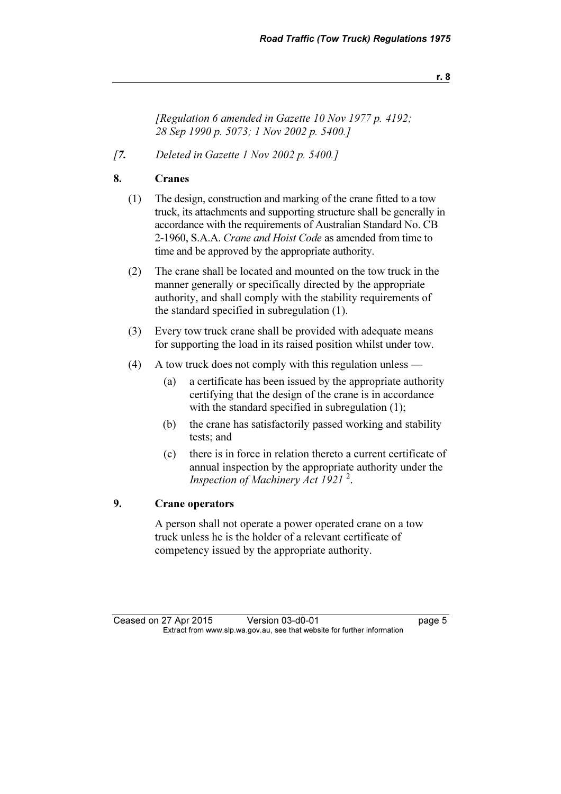r. 8

 [Regulation 6 amended in Gazette 10 Nov 1977 p. 4192; 28 Sep 1990 p. 5073; 1 Nov 2002 p. 5400.]

[7. Deleted in Gazette 1 Nov 2002 p. 5400.]

#### 8. Cranes

- (1) The design, construction and marking of the crane fitted to a tow truck, its attachments and supporting structure shall be generally in accordance with the requirements of Australian Standard No. CB 2-1960, S.A.A. Crane and Hoist Code as amended from time to time and be approved by the appropriate authority.
- (2) The crane shall be located and mounted on the tow truck in the manner generally or specifically directed by the appropriate authority, and shall comply with the stability requirements of the standard specified in subregulation (1).
- (3) Every tow truck crane shall be provided with adequate means for supporting the load in its raised position whilst under tow.
- (4) A tow truck does not comply with this regulation unless
	- (a) a certificate has been issued by the appropriate authority certifying that the design of the crane is in accordance with the standard specified in subregulation (1);
	- (b) the crane has satisfactorily passed working and stability tests; and
	- (c) there is in force in relation thereto a current certificate of annual inspection by the appropriate authority under the Inspection of Machinery Act 1921<sup>2</sup>.

### 9. Crane operators

 A person shall not operate a power operated crane on a tow truck unless he is the holder of a relevant certificate of competency issued by the appropriate authority.

Ceased on 27 Apr 2015 Version 03-d0-01 page 5<br>Extract from www.slp.wa.gov.au, see that website for further information  $\mathbf{F}$  from which was the set that we besite for further information  $\mathbf{F}$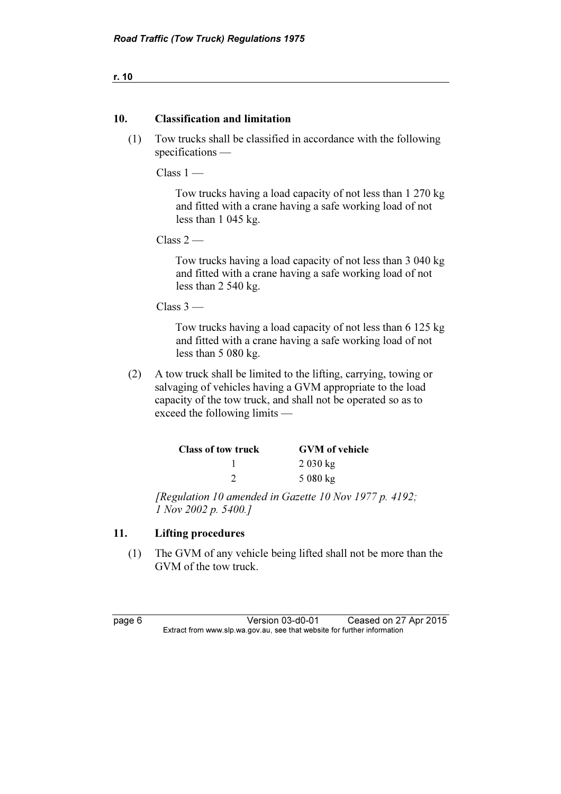r. 10

#### 10. Classification and limitation

 (1) Tow trucks shall be classified in accordance with the following specifications —

 $Class 1 -$ 

 Tow trucks having a load capacity of not less than 1 270 kg and fitted with a crane having a safe working load of not less than 1 045 kg.

 $Class 2$  —

 Tow trucks having a load capacity of not less than 3 040 kg and fitted with a crane having a safe working load of not less than 2 540 kg.

 $Class 3 -$ 

 Tow trucks having a load capacity of not less than 6 125 kg and fitted with a crane having a safe working load of not less than 5 080 kg.

 (2) A tow truck shall be limited to the lifting, carrying, towing or salvaging of vehicles having a GVM appropriate to the load capacity of the tow truck, and shall not be operated so as to exceed the following limits —

| Class of tow truck | <b>GVM</b> of vehicle |
|--------------------|-----------------------|
|                    | 2030 kg               |
|                    | $5080 \text{ kg}$     |

 [Regulation 10 amended in Gazette 10 Nov 1977 p. 4192; 1 Nov 2002 p. 5400.]

#### 11. Lifting procedures

 (1) The GVM of any vehicle being lifted shall not be more than the GVM of the tow truck.

page 6 Version 03-d0-01 Ceased on 27 Apr 2015<br>Extract from www.slp.wa.gov.au, see that website for further information  $\mathbf{F}$  from which was the set that we besite for further information  $\mathbf{F}$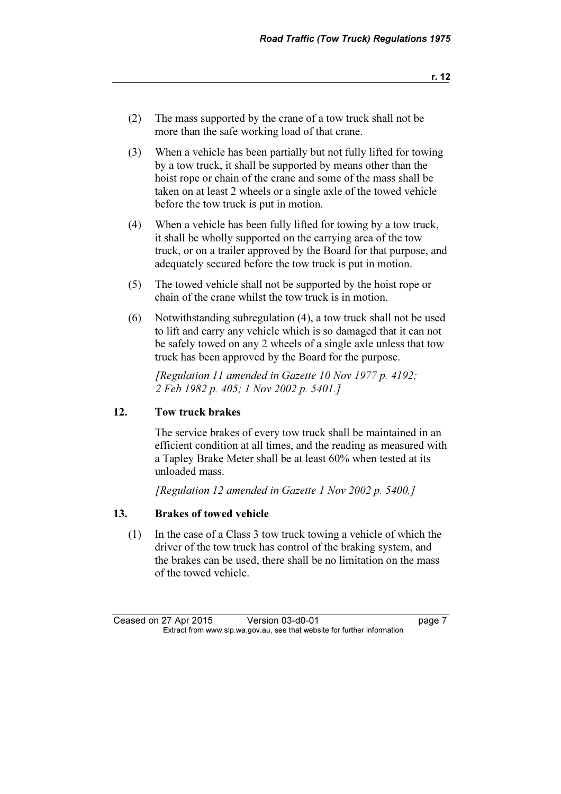- (3) When a vehicle has been partially but not fully lifted for towing by a tow truck, it shall be supported by means other than the hoist rope or chain of the crane and some of the mass shall be taken on at least 2 wheels or a single axle of the towed vehicle before the tow truck is put in motion.
- (4) When a vehicle has been fully lifted for towing by a tow truck, it shall be wholly supported on the carrying area of the tow truck, or on a trailer approved by the Board for that purpose, and adequately secured before the tow truck is put in motion.
- (5) The towed vehicle shall not be supported by the hoist rope or chain of the crane whilst the tow truck is in motion.
- (6) Notwithstanding subregulation (4), a tow truck shall not be used to lift and carry any vehicle which is so damaged that it can not be safely towed on any 2 wheels of a single axle unless that tow truck has been approved by the Board for the purpose.

 [Regulation 11 amended in Gazette 10 Nov 1977 p. 4192; 2 Feb 1982 p. 405; 1 Nov 2002 p. 5401.]

#### 12. Tow truck brakes

 The service brakes of every tow truck shall be maintained in an efficient condition at all times, and the reading as measured with a Tapley Brake Meter shall be at least 60% when tested at its unloaded mass.

[Regulation 12 amended in Gazette 1 Nov 2002 p. 5400.]

### 13. Brakes of towed vehicle

 (1) In the case of a Class 3 tow truck towing a vehicle of which the driver of the tow truck has control of the braking system, and the brakes can be used, there shall be no limitation on the mass of the towed vehicle.

Ceased on 27 Apr 2015 Version 03-d0-01 page 7<br>Extract from www.slp.wa.gov.au, see that website for further information  $\mathbf{F}$  from which was the set that we besite for further information  $\mathbf{F}$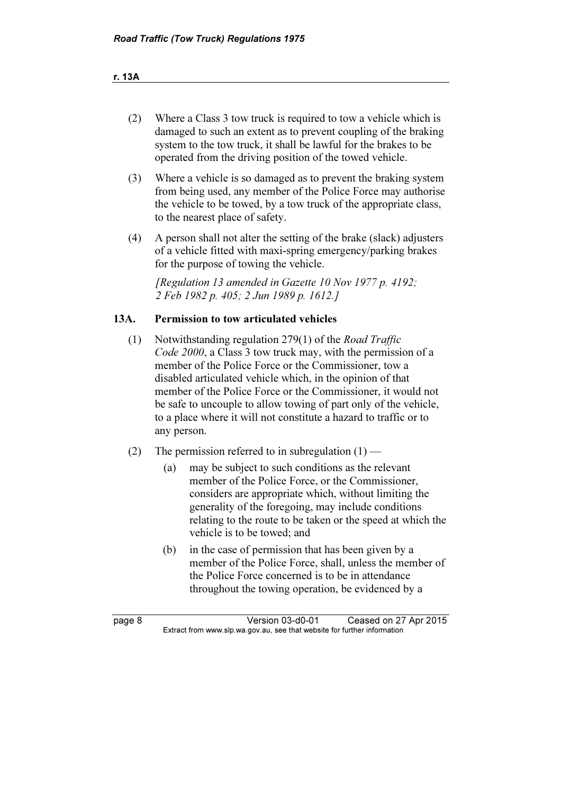r. 13A

- (2) Where a Class 3 tow truck is required to tow a vehicle which is damaged to such an extent as to prevent coupling of the braking system to the tow truck, it shall be lawful for the brakes to be operated from the driving position of the towed vehicle.
- (3) Where a vehicle is so damaged as to prevent the braking system from being used, any member of the Police Force may authorise the vehicle to be towed, by a tow truck of the appropriate class, to the nearest place of safety.
- (4) A person shall not alter the setting of the brake (slack) adjusters of a vehicle fitted with maxi-spring emergency/parking brakes for the purpose of towing the vehicle.

[Regulation 13 amended in Gazette 10 Nov 1977 p. 4192; 2 Feb 1982 p. 405; 2 Jun 1989 p. 1612.]

#### 13A. Permission to tow articulated vehicles

- (1) Notwithstanding regulation 279(1) of the Road Traffic Code 2000, a Class 3 tow truck may, with the permission of a member of the Police Force or the Commissioner, tow a disabled articulated vehicle which, in the opinion of that member of the Police Force or the Commissioner, it would not be safe to uncouple to allow towing of part only of the vehicle, to a place where it will not constitute a hazard to traffic or to any person.
- (2) The permission referred to in subregulation  $(1)$ 
	- (a) may be subject to such conditions as the relevant member of the Police Force, or the Commissioner, considers are appropriate which, without limiting the generality of the foregoing, may include conditions relating to the route to be taken or the speed at which the vehicle is to be towed; and
	- (b) in the case of permission that has been given by a member of the Police Force, shall, unless the member of the Police Force concerned is to be in attendance throughout the towing operation, be evidenced by a

page 8 Version 03-d0-01 Ceased on 27 Apr 2015<br>Extract from www.slp.wa.gov.au, see that website for further information  $\mathbf{F}$  from which was the set that we besite for further information  $\mathbf{F}$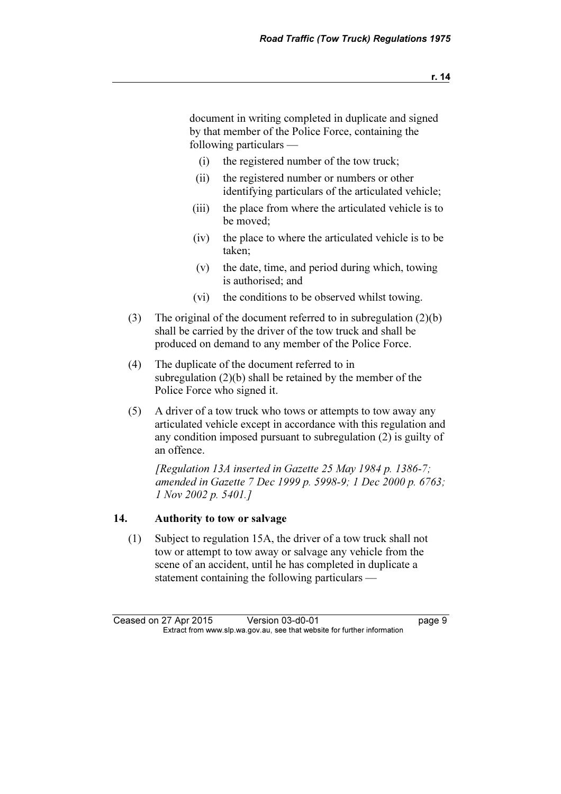document in writing completed in duplicate and signed by that member of the Police Force, containing the following particulars —

- (i) the registered number of the tow truck;
- (ii) the registered number or numbers or other identifying particulars of the articulated vehicle;
- (iii) the place from where the articulated vehicle is to be moved;
- (iv) the place to where the articulated vehicle is to be taken;
- (v) the date, time, and period during which, towing is authorised; and
- (vi) the conditions to be observed whilst towing.
- (3) The original of the document referred to in subregulation (2)(b) shall be carried by the driver of the tow truck and shall be produced on demand to any member of the Police Force.
- (4) The duplicate of the document referred to in subregulation (2)(b) shall be retained by the member of the Police Force who signed it.
- (5) A driver of a tow truck who tows or attempts to tow away any articulated vehicle except in accordance with this regulation and any condition imposed pursuant to subregulation (2) is guilty of an offence.

 [Regulation 13A inserted in Gazette 25 May 1984 p. 1386-7; amended in Gazette 7 Dec 1999 p. 5998-9; 1 Dec 2000 p. 6763; 1 Nov 2002 p. 5401.]

#### 14. Authority to tow or salvage

 (1) Subject to regulation 15A, the driver of a tow truck shall not tow or attempt to tow away or salvage any vehicle from the scene of an accident, until he has completed in duplicate a statement containing the following particulars —

Ceased on 27 Apr 2015 Version 03-d0-01 page 9<br>Extract from www.slp.wa.gov.au, see that website for further information  $\mathbf{F}$  from which was the set that we besite for further information  $\mathbf{F}$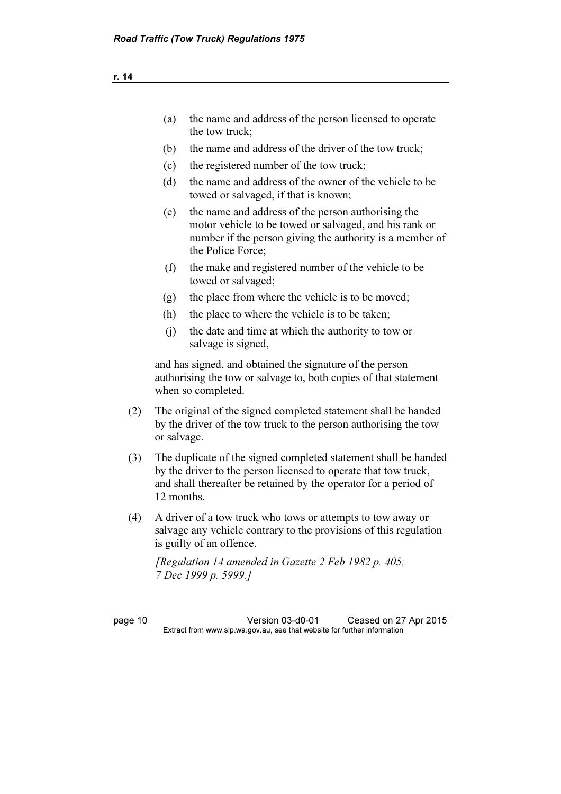- (a) the name and address of the person licensed to operate the tow truck; (b) the name and address of the driver of the tow truck; (c) the registered number of the tow truck; (d) the name and address of the owner of the vehicle to be towed or salvaged, if that is known; (e) the name and address of the person authorising the motor vehicle to be towed or salvaged, and his rank or number if the person giving the authority is a member of the Police Force; (f) the make and registered number of the vehicle to be towed or salvaged; (g) the place from where the vehicle is to be moved; (h) the place to where the vehicle is to be taken;
	- (j) the date and time at which the authority to tow or salvage is signed,

 and has signed, and obtained the signature of the person authorising the tow or salvage to, both copies of that statement when so completed.

- (2) The original of the signed completed statement shall be handed by the driver of the tow truck to the person authorising the tow or salvage.
- (3) The duplicate of the signed completed statement shall be handed by the driver to the person licensed to operate that tow truck, and shall thereafter be retained by the operator for a period of 12 months.
- (4) A driver of a tow truck who tows or attempts to tow away or salvage any vehicle contrary to the provisions of this regulation is guilty of an offence.

[Regulation 14 amended in Gazette 2 Feb 1982 p. 405; 7 Dec 1999 p. 5999.]

page 10 Version 03-d0-01 Ceased on 27 Apr 2015<br>Extract from www.slp.wa.gov.au, see that website for further information  $\mathbf{F}$  from which was the set that we besite for further information  $\mathbf{F}$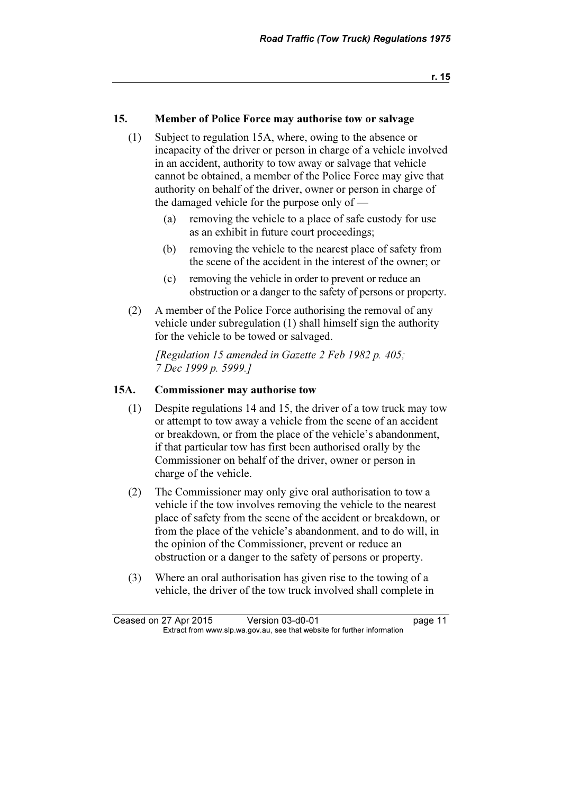r. 15

#### 15. Member of Police Force may authorise tow or salvage

- (1) Subject to regulation 15A, where, owing to the absence or incapacity of the driver or person in charge of a vehicle involved in an accident, authority to tow away or salvage that vehicle cannot be obtained, a member of the Police Force may give that authority on behalf of the driver, owner or person in charge of the damaged vehicle for the purpose only of —
	- (a) removing the vehicle to a place of safe custody for use as an exhibit in future court proceedings;
	- (b) removing the vehicle to the nearest place of safety from the scene of the accident in the interest of the owner; or
	- (c) removing the vehicle in order to prevent or reduce an obstruction or a danger to the safety of persons or property.
- (2) A member of the Police Force authorising the removal of any vehicle under subregulation (1) shall himself sign the authority for the vehicle to be towed or salvaged.

[Regulation 15 amended in Gazette 2 Feb 1982 p. 405; 7 Dec 1999 p. 5999.]

#### 15A. Commissioner may authorise tow

- (1) Despite regulations 14 and 15, the driver of a tow truck may tow or attempt to tow away a vehicle from the scene of an accident or breakdown, or from the place of the vehicle's abandonment, if that particular tow has first been authorised orally by the Commissioner on behalf of the driver, owner or person in charge of the vehicle.
- (2) The Commissioner may only give oral authorisation to tow a vehicle if the tow involves removing the vehicle to the nearest place of safety from the scene of the accident or breakdown, or from the place of the vehicle's abandonment, and to do will, in the opinion of the Commissioner, prevent or reduce an obstruction or a danger to the safety of persons or property.
- (3) Where an oral authorisation has given rise to the towing of a vehicle, the driver of the tow truck involved shall complete in

Ceased on 27 Apr 2015 Version 03-d0-01 page 11<br>Extract from www.slp.wa.gov.au, see that website for further information  $\mathbf{F}$  from which was the set that we besite for further information  $\mathbf{F}$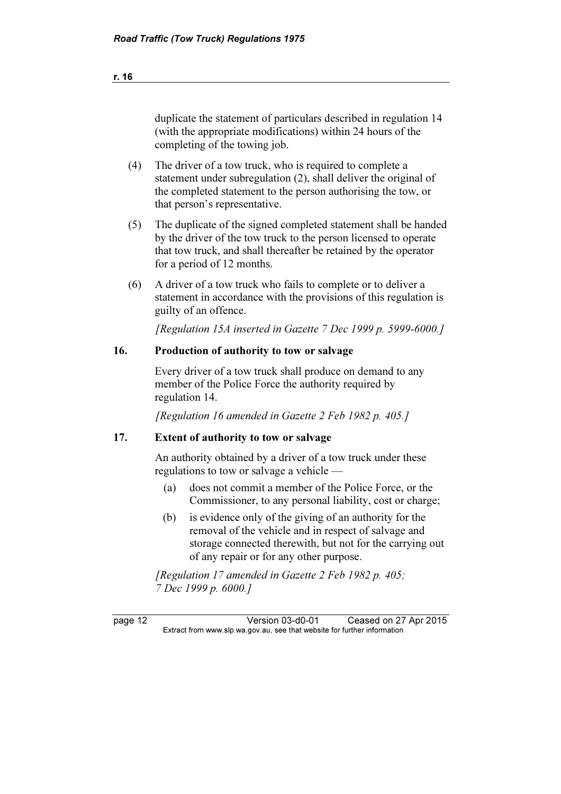page 12 Version 03-d0-01 Ceased on 27 Apr 2015<br>Extract from www.slp.wa.gov.au, see that website for further information  $\mathbf{F}$  from which was the set that we besite for further information  $\mathbf{F}$ duplicate the statement of particulars described in regulation 14 (with the appropriate modifications) within 24 hours of the completing of the towing job. (4) The driver of a tow truck, who is required to complete a statement under subregulation (2), shall deliver the original of the completed statement to the person authorising the tow, or that person's representative. (5) The duplicate of the signed completed statement shall be handed by the driver of the tow truck to the person licensed to operate that tow truck, and shall thereafter be retained by the operator for a period of 12 months. (6) A driver of a tow truck who fails to complete or to deliver a statement in accordance with the provisions of this regulation is guilty of an offence. [Regulation 15A inserted in Gazette 7 Dec 1999 p. 5999-6000.] 16. Production of authority to tow or salvage Every driver of a tow truck shall produce on demand to any member of the Police Force the authority required by regulation 14. [Regulation 16 amended in Gazette 2 Feb 1982 p. 405.] 17. Extent of authority to tow or salvage An authority obtained by a driver of a tow truck under these regulations to tow or salvage a vehicle — (a) does not commit a member of the Police Force, or the Commissioner, to any personal liability, cost or charge; (b) is evidence only of the giving of an authority for the removal of the vehicle and in respect of salvage and storage connected therewith, but not for the carrying out of any repair or for any other purpose. [Regulation 17 amended in Gazette 2 Feb 1982 p. 405; 7 Dec 1999 p. 6000.]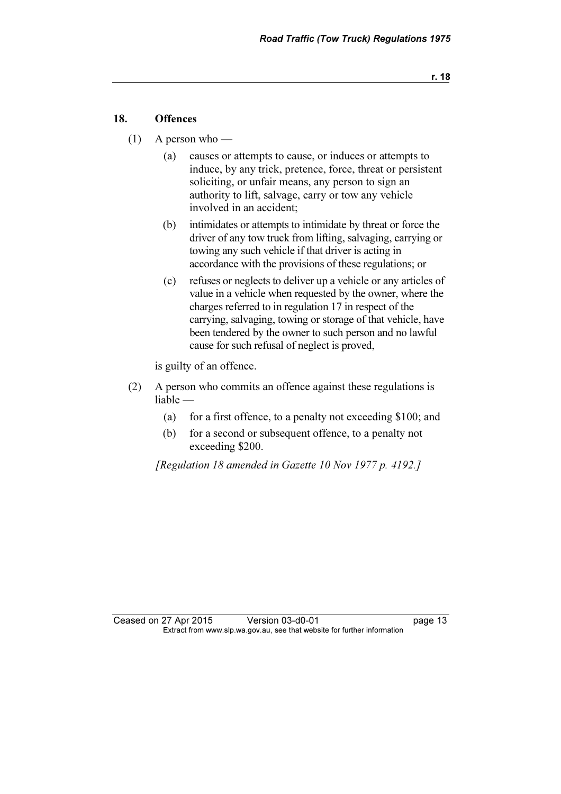#### 18. Offences

- (1) A person who
	- (a) causes or attempts to cause, or induces or attempts to induce, by any trick, pretence, force, threat or persistent soliciting, or unfair means, any person to sign an authority to lift, salvage, carry or tow any vehicle involved in an accident;
	- (b) intimidates or attempts to intimidate by threat or force the driver of any tow truck from lifting, salvaging, carrying or towing any such vehicle if that driver is acting in accordance with the provisions of these regulations; or
	- (c) refuses or neglects to deliver up a vehicle or any articles of value in a vehicle when requested by the owner, where the charges referred to in regulation 17 in respect of the carrying, salvaging, towing or storage of that vehicle, have been tendered by the owner to such person and no lawful cause for such refusal of neglect is proved,

is guilty of an offence.

- (2) A person who commits an offence against these regulations is liable —
	- (a) for a first offence, to a penalty not exceeding \$100; and
	- (b) for a second or subsequent offence, to a penalty not exceeding \$200.

[Regulation 18 amended in Gazette 10 Nov 1977 p. 4192.]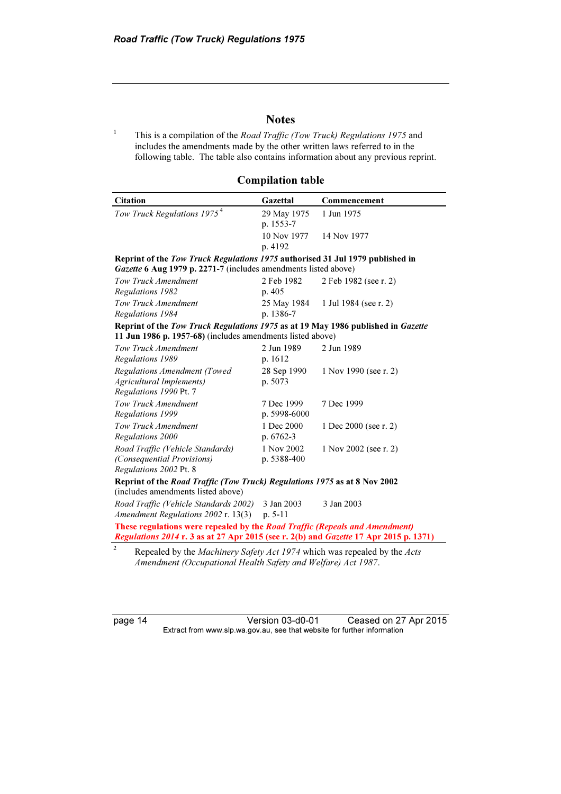#### **Notes**

1 This is a compilation of the Road Traffic (Tow Truck) Regulations 1975 and includes the amendments made by the other written laws referred to in the following table. The table also contains information about any previous reprint.

Compilation table

| <b>Citation</b>                                                                            | Gazettal     | Commencement          |  |  |  |  |  |
|--------------------------------------------------------------------------------------------|--------------|-----------------------|--|--|--|--|--|
| Tow Truck Regulations 1975 <sup>4</sup>                                                    | 29 May 1975  | 1 Jun 1975            |  |  |  |  |  |
|                                                                                            | p. 1553-7    |                       |  |  |  |  |  |
|                                                                                            | 10 Nov 1977  | 14 Nov 1977           |  |  |  |  |  |
|                                                                                            | p. 4192      |                       |  |  |  |  |  |
| Reprint of the Tow Truck Regulations 1975 authorised 31 Jul 1979 published in              |              |                       |  |  |  |  |  |
| Gazette 6 Aug 1979 p. 2271-7 (includes amendments listed above)                            |              |                       |  |  |  |  |  |
| Tow Truck Amendment                                                                        | 2 Feb 1982   | 2 Feb 1982 (see r. 2) |  |  |  |  |  |
| Regulations 1982                                                                           | p. 405       |                       |  |  |  |  |  |
| Tow Truck Amendment                                                                        | 25 May 1984  | 1 Jul 1984 (see r. 2) |  |  |  |  |  |
| Regulations 1984                                                                           | p. 1386-7    |                       |  |  |  |  |  |
| Reprint of the Tow Truck Regulations 1975 as at 19 May 1986 published in Gazette           |              |                       |  |  |  |  |  |
| 11 Jun 1986 p. 1957-68) (includes amendments listed above)                                 |              |                       |  |  |  |  |  |
| Tow Truck Amendment                                                                        | 2 Jun 1989   | 2 Jun 1989            |  |  |  |  |  |
| Regulations 1989                                                                           | p. 1612      |                       |  |  |  |  |  |
| Regulations Amendment (Towed                                                               | 28 Sep 1990  | 1 Nov 1990 (see r. 2) |  |  |  |  |  |
| <b>Agricultural Implements)</b>                                                            | p. 5073      |                       |  |  |  |  |  |
| Regulations 1990 Pt. 7                                                                     |              |                       |  |  |  |  |  |
| Tow Truck Amendment                                                                        | 7 Dec 1999   | 7 Dec 1999            |  |  |  |  |  |
| Regulations 1999                                                                           | p. 5998-6000 |                       |  |  |  |  |  |
| Tow Truck Amendment                                                                        | 1 Dec 2000   | 1 Dec 2000 (see r. 2) |  |  |  |  |  |
| Regulations 2000                                                                           | p. 6762-3    |                       |  |  |  |  |  |
| Road Traffic (Vehicle Standards)                                                           | 1 Nov 2002   | 1 Nov 2002 (see r. 2) |  |  |  |  |  |
| (Consequential Provisions)                                                                 | p. 5388-400  |                       |  |  |  |  |  |
| Regulations 2002 Pt. 8                                                                     |              |                       |  |  |  |  |  |
| Reprint of the Road Traffic (Tow Truck) Regulations 1975 as at 8 Nov 2002                  |              |                       |  |  |  |  |  |
| (includes amendments listed above)                                                         |              |                       |  |  |  |  |  |
| Road Traffic (Vehicle Standards 2002)                                                      | 3 Jan 2003   | 3 Jan 2003            |  |  |  |  |  |
| Amendment Regulations 2002 r. 13(3)                                                        | $p. 5-11$    |                       |  |  |  |  |  |
| These regulations were repealed by the Road Traffic (Repeals and Amendment)                |              |                       |  |  |  |  |  |
| Regulations 2014 r. 3 as at 27 Apr 2015 (see r. 2(b) and Gazette 17 Apr 2015 p. 1371)      |              |                       |  |  |  |  |  |
| $\overline{c}$<br>Repealed by the Machinery Safety Act 1974 which was repealed by the Acts |              |                       |  |  |  |  |  |
| Amendment (Occupational Health Safety and Welfare) Act 1987.                               |              |                       |  |  |  |  |  |

page 14 Version 03-d0-01 Ceased on 27 Apr 2015 Extract from www.slp.wa.gov.au, see that website for further information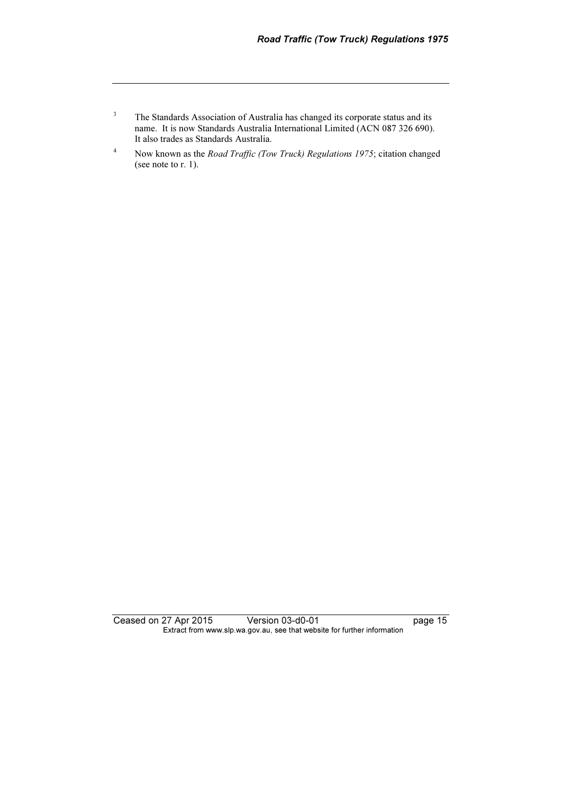- 3 The Standards Association of Australia has changed its corporate status and its name. It is now Standards Australia International Limited (ACN 087 326 690). It also trades as Standards Australia.
- 4 Now known as the Road Traffic (Tow Truck) Regulations 1975; citation changed (see note to r. 1).

Ceased on 27 Apr 2015 Version 03-d0-01 page 15 Extract from www.slp.wa.gov.au, see that website for further information